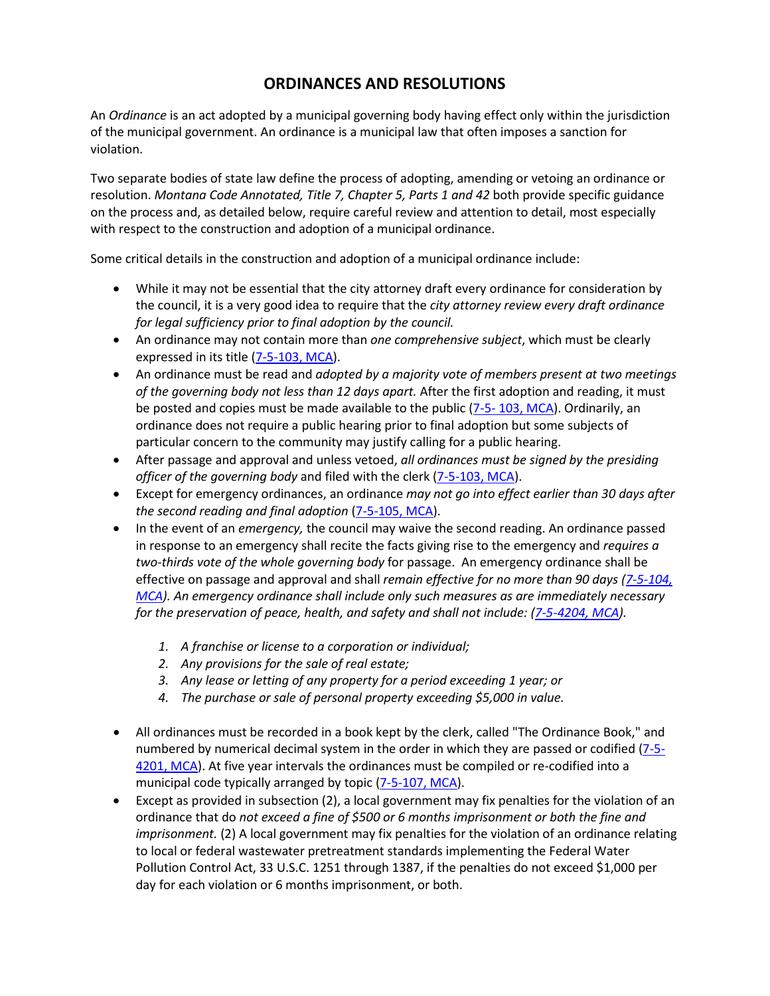## **ORDINANCES AND RESOLUTIONS**

An *Ordinance* is an act adopted by a municipal governing body having effect only within the jurisdiction of the municipal government. An ordinance is a municipal law that often imposes a sanction for violation.

Two separate bodies of state law define the process of adopting, amending or vetoing an ordinance or resolution. *Montana Code Annotated, Title 7, Chapter 5, Parts 1 and 42* both provide specific guidance on the process and, as detailed below, require careful review and attention to detail, most especially with respect to the construction and adoption of a municipal ordinance.

Some critical details in the construction and adoption of a municipal ordinance include:

- While it may not be essential that the city attorney draft every ordinance for consideration by the council, it is a very good idea to require that the *city attorney review every draft ordinance for legal sufficiency prior to final adoption by the council.*
- An ordinance may not contain more than *one comprehensive subject*, which must be clearly expressed in its title [\(7-5-103, MCA\)](http://leg.mt.gov/bills/mca/7/5/7-5-103.htm).
- An ordinance must be read and *adopted by a majority vote of members present at two meetings of the governing body not less than 12 days apart.* After the first adoption and reading, it must be posted and copies must be made available to the public (7-5-[103, MCA\)](http://leg.mt.gov/bills/mca/7/5/7-5-103.htm). Ordinarily, an ordinance does not require a public hearing prior to final adoption but some subjects of particular concern to the community may justify calling for a public hearing.
- After passage and approval and unless vetoed, *all ordinances must be signed by the presiding officer of the governing body* and filed with the clerk [\(7-5-103, MCA\)](http://leg.mt.gov/bills/mca/7/5/7-5-103.htm).
- Except for emergency ordinances, an ordinance *may not go into effect earlier than 30 days after the second reading and final adoption* [\(7-5-105, MCA\)](http://leg.mt.gov/bills/mca/7/5/7-5-105.htm).
- In the event of an *emergency,* the council may waive the second reading. An ordinance passed in response to an emergency shall recite the facts giving rise to the emergency and *requires a two-thirds vote of the whole governing body* for passage. An emergency ordinance shall be effective on passage and approval and shall *remain effective for no more than 90 days [\(7-5-104,](http://leg.mt.gov/bills/mca/7/5/7-5-104.htm)  [MCA\)](http://leg.mt.gov/bills/mca/7/5/7-5-104.htm). An emergency ordinance shall include only such measures as are immediately necessary for the preservation of peace, health, and safety and shall not include: [\(7-5-4204, MCA\)](http://leg.mt.gov/bills/mca/7/5/7-5-4204.htm).*
	- *1. A franchise or license to a corporation or individual;*
	- *2. Any provisions for the sale of real estate;*
	- *3. Any lease or letting of any property for a period exceeding 1 year; or*
	- *4. The purchase or sale of personal property exceeding \$5,000 in value.*
- All ordinances must be recorded in a book kept by the clerk, called "The Ordinance Book," and numbered by numerical decimal system in the order in which they are passed or codified [\(7-5-](http://leg.mt.gov/bills/mca/7/5/7-5-4201.htm) [4201, MCA\)](http://leg.mt.gov/bills/mca/7/5/7-5-4201.htm). At five year intervals the ordinances must be compiled or re-codified into a municipal code typically arranged by topic [\(7-5-107,](http://leg.mt.gov/bills/mca/7/5/7-5-107.htm) MCA).
- Except as provided in subsection (2), a local government may fix penalties for the violation of an ordinance that do *not exceed a fine of \$500 or 6 months imprisonment or both the fine and imprisonment.* (2) A local government may fix penalties for the violation of an ordinance relating to local or federal wastewater pretreatment standards implementing the Federal Water Pollution Control Act, 33 U.S.C. 1251 through 1387, if the penalties do not exceed \$1,000 per day for each violation or 6 months imprisonment, or both.